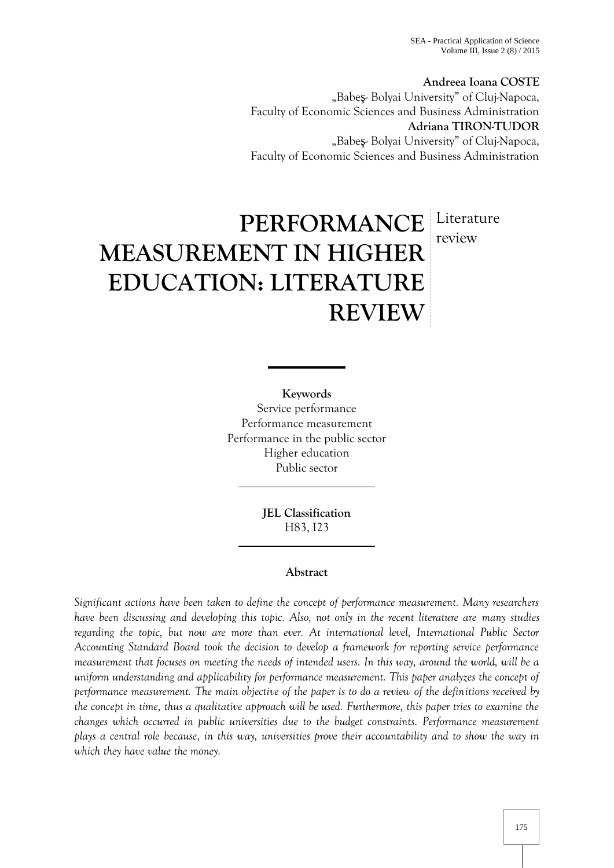**Andreea Ioana COSTE** "Babe - Bolyai University" of Cluj-Napoca, Faculty of Economic Sciences and Business Administration **Adriana TIRON-TUDOR** "Babe - Bolyai University" of Cluj-Napoca, Faculty of Economic Sciences and Business Administration

# **PERFORMANCE** Literature **MEASUREMENT IN HIGHER EDUCATION: LITERATURE REVIEW** review

**Keywords** Service performance Performance measurement Performance in the public sector Higher education Public sector

> **JEL Classification** H83, I23

# **Abstract**

*Significant actions have been taken to define the concept of performance measurement. Many researchers have been discussing and developing this topic. Also, not only in the recent literature are many studies regarding the topic, but now are more than ever. At international level, International Public Sector Accounting Standard Board took the decision to develop a framework for reporting service performance measurement that focuses on meeting the needs of intended users. In this way, around the world, will be a uniform understanding and applicability for performance measurement. This paper analyzes the concept of performance measurement. The main objective of the paper is to do a review of the definitions received by the concept in time, thus a qualitative approach will be used. Furthermore, this paper tries to examine the changes which occurred in public universities due to the budget constraints. Performance measurement plays a central role because, in this way, universities prove their accountability and to show the way in which they have value the money.*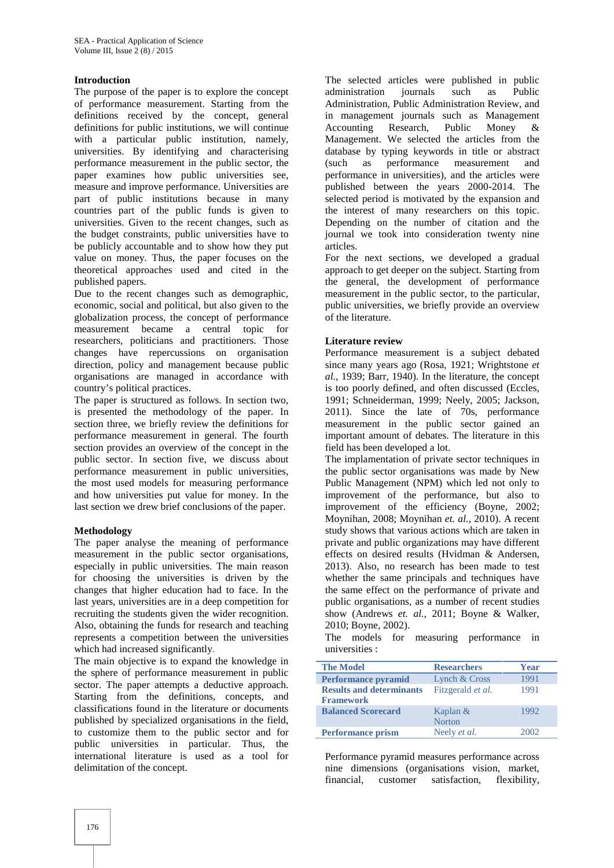### **Introduction**

The purpose of the paper is to explore the concept of performance measurement. Starting from the definitions received by the concept, general definitions for public institutions, we will continue with a particular public institution, namely, universities. By identifying and characterising databaner databaner of the measurement in the public sector, the cuch performance measurement in the public sector, the paper examines how public universities see, measure and improve performance. Universities are part of public institutions because in many countries part of the public funds is given to universities. Given to the recent changes, such as the budget constraints, public universities have to be publicly accountable and to show how they put value on money. Thus, the paper focuses on the theoretical approaches used and cited in the published papers.

Due to the recent changes such as demographic, economic, social and political, but also given to the globalization process, the concept of performance measurement became a central topic for researchers, politicians and practitioners. Those changes have repercussions on organisation direction, policy and management because public organisations are managed in accordance with country's political practices.

The paper is structured as follows. In section two, is presented the methodology of the paper. In section three, we briefly review the definitions for performance measurement in general. The fourth section provides an overview of the concept in the public sector. In section five, we discuss about performance measurement in public universities, the most used models for measuring performance and how universities put value for money. In the last section we drew brief conclusions of the paper.

# **Methodology**

The paper analyse the meaning of performance measurement in the public sector organisations, especially in public universities. The main reason for choosing the universities is driven by the changes that higher education had to face. In the last years, universities are in a deep competition for recruiting the students given the wider recognition. Also, obtaining the funds for research and teaching represents a competition between the universities which had increased significantly.

The main objective is to expand the knowledge in the sphere of performance measurement in public sector. The paper attempts a deductive approach. Starting from the definitions, concepts, and classifications found in the literature or documents published by specialized organisations in the field, to customize them to the public sector and for public universities in particular. Thus, the international literature is used as a tool for delimitation of the concept.

The selected articles were published in public administration journals such as Public Administration, Public Administration Review, and in management journals such as Management Accounting Research, Public Money Management. We selected the articles from the database by typing keywords in title or abstract<br>(such as performance measurement and performance measurement and performance in universities), and the articles were published between the years 2000-2014. The selected period is motivated by the expansion and the interest of many researchers on this topic. Depending on the number of citation and the journal we took into consideration twenty nine articles.

For the next sections, we developed a gradual approach to get deeper on the subject. Starting from the general, the development of performance measurement in the public sector, to the particular, public universities, we briefly provide an overview of the literature.

## **Literature review**

Performance measurement is a subject debated since many years ago (Rosa, 1921; Wrightstone *et al.*, 1939; Barr, 1940). In the literature, the concept is too poorly defined, and often discussed (Eccles, 1991; Schneiderman, 1999; Neely, 2005; Jackson, 2011). Since the late of 70s, performance measurement in the public sector gained an important amount of debates. The literature in this field has been developed a lot.

The implamentation of private sector techniques in the public sector organisations was made by New Public Management (NPM) which led not only to improvement of the performance, but also to improvement of the efficiency (Boyne, 2002; Moynihan, 2008; Moynihan *et. al.,* 2010). A recent study shows that various actions which are taken in private and public organizations may have different effects on desired results (Hvidman & Andersen, 2013). Also, no research has been made to test whether the same principals and techniques have the same effect on the performance of private and public organisations, as a number of recent studies show (Andrews *et. al.*, 2011; Boyne & Walker, 2010; Boyne, 2002).

The models for measuring performance in universities :

| <b>The Model</b>                | <b>Researchers</b>  | Year |
|---------------------------------|---------------------|------|
| <b>Performance pyramid</b>      | Lynch & Cross       | 1991 |
| <b>Results and determinants</b> | Fitzgerald et al.   | 1991 |
| <b>Framework</b>                |                     |      |
| <b>Balanced Scorecard</b>       | Kaplan &            | 1992 |
|                                 | <b>Norton</b>       |      |
| <b>Performance prism</b>        | Neely <i>et al.</i> | 2002 |

Performance pyramid measures performance across nine dimensions (organisations vision, market, financial, customer satisfaction, flexibility,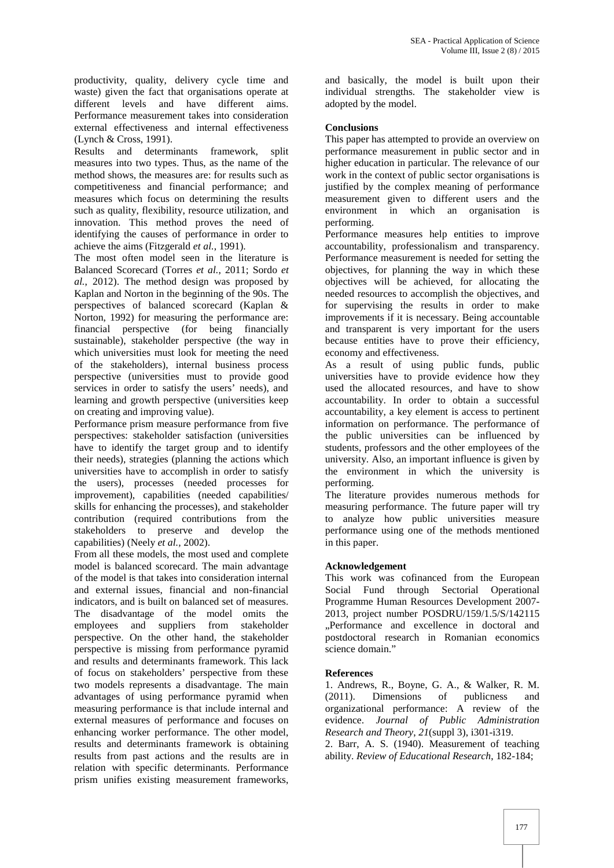productivity, quality, delivery cycle time and waste) given the fact that organisations operate at different levels and have different aims. Performance measurement takes into consideration external effectiveness and internal effectiveness (Lynch & Cross, 1991).

Results and determinants framework, split measures into two types. Thus, as the name of the method shows, the measures are: for results such as competitiveness and financial performance; and measures which focus on determining the results such as quality, flexibility, resource utilization, and innovation. This method proves the need of identifying the causes of performance in order to achieve the aims (Fitzgerald *et al.*, 1991).

The most often model seen in the literature is Balanced Scorecard (Torres *et al.*, 2011; Sordo *et al.*, 2012). The method design was proposed by Kaplan and Norton in the beginning of the 90s. The perspectives of balanced scorecard (Kaplan & Norton, 1992) for measuring the performance are: financial perspective (for being financially sustainable), stakeholder perspective (the way in which universities must look for meeting the need of the stakeholders), internal business process perspective (universities must to provide good services in order to satisfy the users' needs), and learning and growth perspective (universities keep on creating and improving value).

Performance prism measure performance from five perspectives: stakeholder satisfaction (universities have to identify the target group and to identify their needs), strategies (planning the actions which universities have to accomplish in order to satisfy the users), processes (needed processes for improvement), capabilities (needed capabilities/ skills for enhancing the processes), and stakeholder contribution (required contributions from the stakeholders to preserve and develop the capabilities) (Neely *et al.,* 2002).

From all these models, the most used and complete model is balanced scorecard. The main advantage of the model is that takes into consideration internal and external issues, financial and non-financial indicators, and is built on balanced set of measures. The disadvantage of the model omits the employees and suppliers from stakeholder perspective. On the other hand, the stakeholder perspective is missing from performance pyramid and results and determinants framework. This lack of focus on stakeholders' perspective from these two models represents a disadvantage. The main advantages of using performance pyramid when (2011). measuring performance is that include internal and external measures of performance and focuses on enhancing worker performance. The other model, results and determinants framework is obtaining results from past actions and the results are in relation with specific determinants. Performance prism unifies existing measurement frameworks,

and basically, the model is built upon their individual strengths. The stakeholder view is adopted by the model.

## **Conclusions**

This paper has attempted to provide an overview on performance measurement in public sector and in higher education in particular. The relevance of our work in the context of public sector organisations is justified by the complex meaning of performance measurement given to different users and the environment in which an organisation is performing.

Performance measures help entities to improve accountability, professionalism and transparency. Performance measurement is needed for setting the objectives, for planning the way in which these objectives will be achieved, for allocating the needed resources to accomplish the objectives, and for supervising the results in order to make improvements if it is necessary. Being accountable and transparent is very important for the users because entities have to prove their efficiency, economy and effectiveness.

As a result of using public funds, public universities have to provide evidence how they used the allocated resources, and have to show accountability. In order to obtain a successful accountability, a key element is access to pertinent information on performance. The performance of the public universities can be influenced by students, professors and the other employees of the university. Also, an important influence is given by the environment in which the university is performing.

The literature provides numerous methods for measuring performance. The future paper will try to analyze how public universities measure performance using one of the methods mentioned in this paper.

### **Acknowledgement**

This work was cofinanced from the European Social Fund through Sectorial Operational Programme Human Resources Development 2007- 2013, project number POSDRU/159/1.5/S/142115 "Performance and excellence in doctoral and postdoctoral research in Romanian economics science domain."

### **References**

1. Andrews, R., Boyne, G. A., & Walker, R. M. Dimensions of publicness and organizational performance: A review of the evidence. *Journal of Public Administration Research and Theory*, *21*(suppl 3), i301-i319.

2. Barr, A. S. (1940). Measurement of teaching ability. *Review of Educational Research*, 182-184;